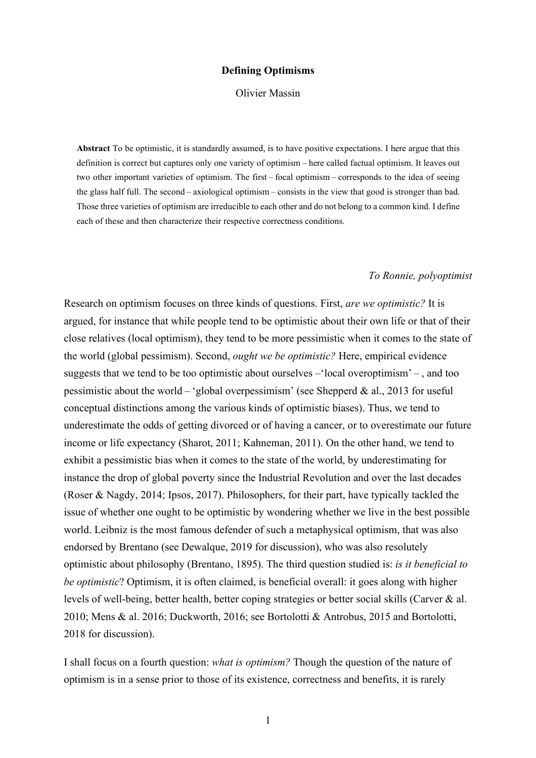### **Defining Optimisms**

#### Olivier Massin

**Abstract** To be optimistic, it is standardly assumed, is to have positive expectations. I here argue that this definition is correct but captures only one variety of optimism – here called factual optimism. It leaves out two other important varieties of optimism. The first – focal optimism – corresponds to the idea of seeing the glass half full. The second – axiological optimism – consists in the view that good is stronger than bad. Those three varieties of optimism are irreducible to each other and do not belong to a common kind. I define each of these and then characterize their respective correctness conditions.

#### *To Ronnie, polyoptimist*

Research on optimism focuses on three kinds of questions. First, *are we optimistic?* It is argued, for instance that while people tend to be optimistic about their own life or that of their close relatives (local optimism), they tend to be more pessimistic when it comes to the state of the world (global pessimism). Second, *ought we be optimistic?* Here, empirical evidence suggests that we tend to be too optimistic about ourselves –'local overoptimism' – , and too pessimistic about the world – 'global overpessimism' (see Shepperd & al., 2013 for useful conceptual distinctions among the various kinds of optimistic biases). Thus, we tend to underestimate the odds of getting divorced or of having a cancer, or to overestimate our future income or life expectancy (Sharot, 2011; Kahneman, 2011). On the other hand, we tend to exhibit a pessimistic bias when it comes to the state of the world, by underestimating for instance the drop of global poverty since the Industrial Revolution and over the last decades (Roser & Nagdy, 2014; Ipsos, 2017). Philosophers, for their part, have typically tackled the issue of whether one ought to be optimistic by wondering whether we live in the best possible world. Leibniz is the most famous defender of such a metaphysical optimism, that was also endorsed by Brentano (see Dewalque, 2019 for discussion), who was also resolutely optimistic about philosophy (Brentano, 1895). The third question studied is: *is it beneficial to be optimistic*? Optimism, it is often claimed, is beneficial overall: it goes along with higher levels of well-being, better health, better coping strategies or better social skills (Carver & al. 2010; Mens & al. 2016; Duckworth, 2016; see Bortolotti & Antrobus, 2015 and Bortolotti, 2018 for discussion).

I shall focus on a fourth question: *what is optimism?* Though the question of the nature of optimism is in a sense prior to those of its existence, correctness and benefits, it is rarely

1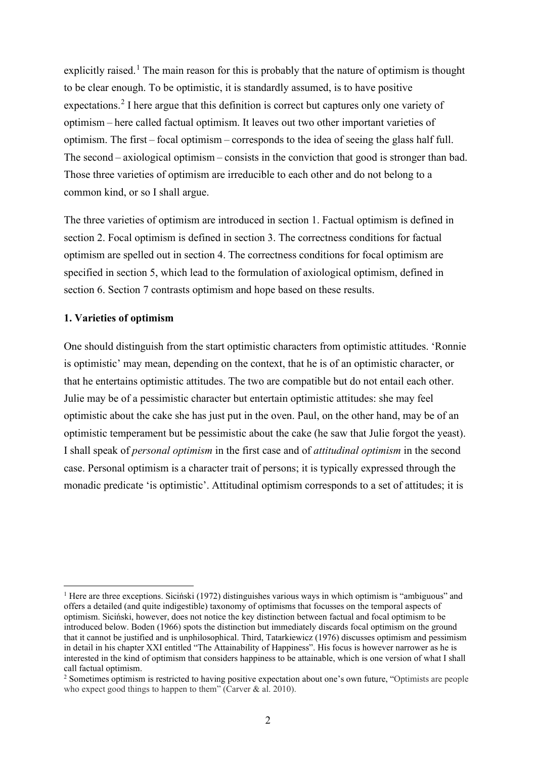explicitly raised.<sup>[1](#page-1-0)</sup> The main reason for this is probably that the nature of optimism is thought to be clear enough. To be optimistic, it is standardly assumed, is to have positive expectations.<sup>[2](#page-1-1)</sup> I here argue that this definition is correct but captures only one variety of optimism – here called factual optimism. It leaves out two other important varieties of optimism. The first – focal optimism – corresponds to the idea of seeing the glass half full. The second – axiological optimism – consists in the conviction that good is stronger than bad. Those three varieties of optimism are irreducible to each other and do not belong to a common kind, or so I shall argue.

The three varieties of optimism are introduced in section 1. Factual optimism is defined in section 2. Focal optimism is defined in section 3. The correctness conditions for factual optimism are spelled out in section 4. The correctness conditions for focal optimism are specified in section 5, which lead to the formulation of axiological optimism, defined in section 6. Section 7 contrasts optimism and hope based on these results.

# **1. Varieties of optimism**

One should distinguish from the start optimistic characters from optimistic attitudes. 'Ronnie is optimistic' may mean, depending on the context, that he is of an optimistic character, or that he entertains optimistic attitudes. The two are compatible but do not entail each other. Julie may be of a pessimistic character but entertain optimistic attitudes: she may feel optimistic about the cake she has just put in the oven. Paul, on the other hand, may be of an optimistic temperament but be pessimistic about the cake (he saw that Julie forgot the yeast). I shall speak of *personal optimism* in the first case and of *attitudinal optimism* in the second case. Personal optimism is a character trait of persons; it is typically expressed through the monadic predicate 'is optimistic'. Attitudinal optimism corresponds to a set of attitudes; it is

<span id="page-1-0"></span><sup>&</sup>lt;sup>1</sup> Here are three exceptions. Sicinski (1972) distinguishes various ways in which optimism is "ambiguous" and offers a detailed (and quite indigestible) taxonomy of optimisms that focusses on the temporal aspects of optimism. Siciński, however, does not notice the key distinction between factual and focal optimism to be introduced below. Boden (1966) spots the distinction but immediately discards focal optimism on the ground that it cannot be justified and is unphilosophical. Third, Tatarkiewicz (1976) discusses optimism and pessimism in detail in his chapter XXI entitled "The Attainability of Happiness". His focus is however narrower as he is interested in the kind of optimism that considers happiness to be attainable, which is one version of what I shall

<span id="page-1-1"></span>call factual optimism.<br><sup>2</sup> Sometimes optimism is restricted to having positive expectation about one's own future, "Optimists are people who expect good things to happen to them" (Carver & al. 2010).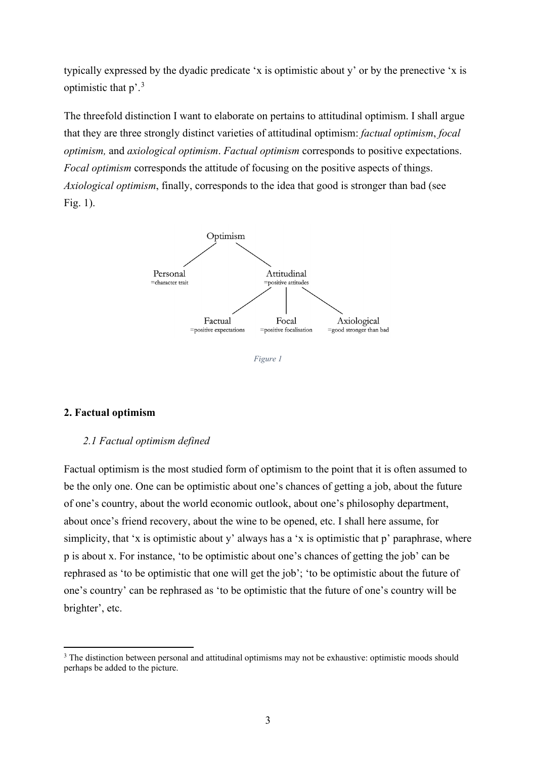typically expressed by the dyadic predicate 'x is optimistic about y' or by the prenective 'x is optimistic that  $p^2$ .<sup>[3](#page-2-0)</sup>

The threefold distinction I want to elaborate on pertains to attitudinal optimism. I shall argue that they are three strongly distinct varieties of attitudinal optimism: *factual optimism*, *focal optimism,* and *axiological optimism*. *Factual optimism* corresponds to positive expectations. *Focal optimism* corresponds the attitude of focusing on the positive aspects of things. *Axiological optimism*, finally, corresponds to the idea that good is stronger than bad (see Fig. 1).



*Figure 1*

## **2. Factual optimism**

#### *2.1 Factual optimism defined*

Factual optimism is the most studied form of optimism to the point that it is often assumed to be the only one. One can be optimistic about one's chances of getting a job, about the future of one's country, about the world economic outlook, about one's philosophy department, about once's friend recovery, about the wine to be opened, etc. I shall here assume, for simplicity, that 'x is optimistic about y' always has a 'x is optimistic that p' paraphrase, where p is about x. For instance, 'to be optimistic about one's chances of getting the job' can be rephrased as 'to be optimistic that one will get the job'; 'to be optimistic about the future of one's country' can be rephrased as 'to be optimistic that the future of one's country will be brighter', etc.

<span id="page-2-0"></span><sup>&</sup>lt;sup>3</sup> The distinction between personal and attitudinal optimisms may not be exhaustive: optimistic moods should perhaps be added to the picture.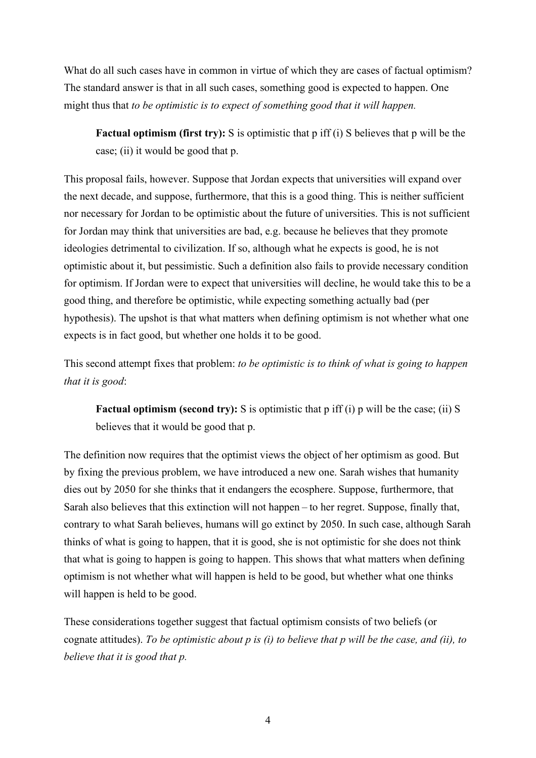What do all such cases have in common in virtue of which they are cases of factual optimism? The standard answer is that in all such cases, something good is expected to happen. One might thus that *to be optimistic is to expect of something good that it will happen.*

**Factual optimism (first try):** S is optimistic that p iff (i) S believes that p will be the case; (ii) it would be good that p.

This proposal fails, however. Suppose that Jordan expects that universities will expand over the next decade, and suppose, furthermore, that this is a good thing. This is neither sufficient nor necessary for Jordan to be optimistic about the future of universities. This is not sufficient for Jordan may think that universities are bad, e.g. because he believes that they promote ideologies detrimental to civilization. If so, although what he expects is good, he is not optimistic about it, but pessimistic. Such a definition also fails to provide necessary condition for optimism. If Jordan were to expect that universities will decline, he would take this to be a good thing, and therefore be optimistic, while expecting something actually bad (per hypothesis). The upshot is that what matters when defining optimism is not whether what one expects is in fact good, but whether one holds it to be good.

This second attempt fixes that problem: *to be optimistic is to think of what is going to happen that it is good*:

**Factual optimism (second try):** S is optimistic that p iff (i) p will be the case; (ii) S believes that it would be good that p.

The definition now requires that the optimist views the object of her optimism as good. But by fixing the previous problem, we have introduced a new one. Sarah wishes that humanity dies out by 2050 for she thinks that it endangers the ecosphere. Suppose, furthermore, that Sarah also believes that this extinction will not happen – to her regret. Suppose, finally that, contrary to what Sarah believes, humans will go extinct by 2050. In such case, although Sarah thinks of what is going to happen, that it is good, she is not optimistic for she does not think that what is going to happen is going to happen. This shows that what matters when defining optimism is not whether what will happen is held to be good, but whether what one thinks will happen is held to be good.

These considerations together suggest that factual optimism consists of two beliefs (or cognate attitudes). *To be optimistic about p is (i) to believe that p will be the case, and (ii), to believe that it is good that p.*

4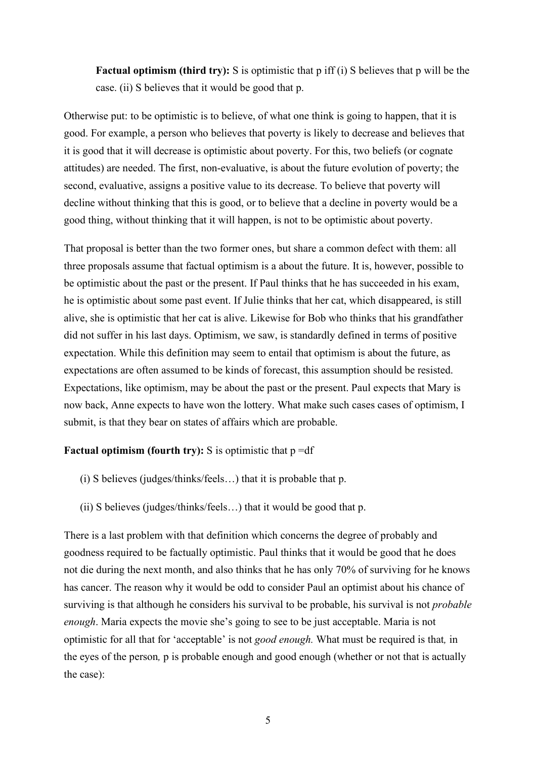**Factual optimism (third try):** S is optimistic that p iff (i) S believes that p will be the case. (ii) S believes that it would be good that p.

Otherwise put: to be optimistic is to believe, of what one think is going to happen, that it is good. For example, a person who believes that poverty is likely to decrease and believes that it is good that it will decrease is optimistic about poverty. For this, two beliefs (or cognate attitudes) are needed. The first, non-evaluative, is about the future evolution of poverty; the second, evaluative, assigns a positive value to its decrease. To believe that poverty will decline without thinking that this is good, or to believe that a decline in poverty would be a good thing, without thinking that it will happen, is not to be optimistic about poverty.

That proposal is better than the two former ones, but share a common defect with them: all three proposals assume that factual optimism is a about the future. It is, however, possible to be optimistic about the past or the present. If Paul thinks that he has succeeded in his exam, he is optimistic about some past event. If Julie thinks that her cat, which disappeared, is still alive, she is optimistic that her cat is alive. Likewise for Bob who thinks that his grandfather did not suffer in his last days. Optimism, we saw, is standardly defined in terms of positive expectation. While this definition may seem to entail that optimism is about the future, as expectations are often assumed to be kinds of forecast, this assumption should be resisted. Expectations, like optimism, may be about the past or the present. Paul expects that Mary is now back, Anne expects to have won the lottery. What make such cases cases of optimism, I submit, is that they bear on states of affairs which are probable.

## **Factual optimism (fourth try):** S is optimistic that  $p = df$

- (i) S believes (judges/thinks/feels…) that it is probable that p.
- (ii) S believes (judges/thinks/feels…) that it would be good that p.

There is a last problem with that definition which concerns the degree of probably and goodness required to be factually optimistic. Paul thinks that it would be good that he does not die during the next month, and also thinks that he has only 70% of surviving for he knows has cancer. The reason why it would be odd to consider Paul an optimist about his chance of surviving is that although he considers his survival to be probable, his survival is not *probable enough*. Maria expects the movie she's going to see to be just acceptable. Maria is not optimistic for all that for 'acceptable' is not *good enough.* What must be required is that*,* in the eyes of the person*,* p is probable enough and good enough (whether or not that is actually the case):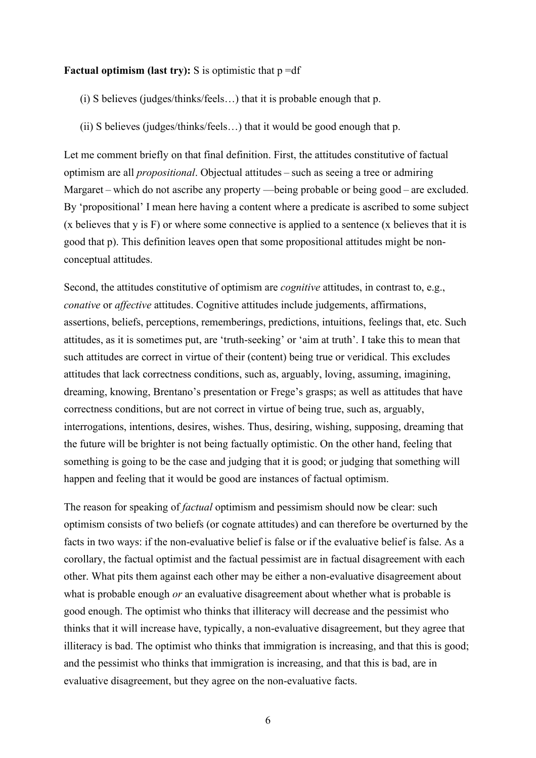### **Factual optimism (last try):**  $S$  is optimistic that  $p = df$

(i) S believes (judges/thinks/feels…) that it is probable enough that p.

(ii) S believes (judges/thinks/feels…) that it would be good enough that p.

Let me comment briefly on that final definition. First, the attitudes constitutive of factual optimism are all *propositional*. Objectual attitudes – such as seeing a tree or admiring Margaret – which do not ascribe any property —being probable or being good – are excluded. By 'propositional' I mean here having a content where a predicate is ascribed to some subject (x believes that y is F) or where some connective is applied to a sentence (x believes that it is good that p). This definition leaves open that some propositional attitudes might be nonconceptual attitudes.

Second, the attitudes constitutive of optimism are *cognitive* attitudes, in contrast to, e.g., *conative* or *affective* attitudes. Cognitive attitudes include judgements, affirmations, assertions, beliefs, perceptions, rememberings, predictions, intuitions, feelings that, etc. Such attitudes, as it is sometimes put, are 'truth-seeking' or 'aim at truth'. I take this to mean that such attitudes are correct in virtue of their (content) being true or veridical. This excludes attitudes that lack correctness conditions, such as, arguably, loving, assuming, imagining, dreaming, knowing, Brentano's presentation or Frege's grasps; as well as attitudes that have correctness conditions, but are not correct in virtue of being true, such as, arguably, interrogations, intentions, desires, wishes. Thus, desiring, wishing, supposing, dreaming that the future will be brighter is not being factually optimistic. On the other hand, feeling that something is going to be the case and judging that it is good; or judging that something will happen and feeling that it would be good are instances of factual optimism.

The reason for speaking of *factual* optimism and pessimism should now be clear: such optimism consists of two beliefs (or cognate attitudes) and can therefore be overturned by the facts in two ways: if the non-evaluative belief is false or if the evaluative belief is false. As a corollary, the factual optimist and the factual pessimist are in factual disagreement with each other. What pits them against each other may be either a non-evaluative disagreement about what is probable enough *or* an evaluative disagreement about whether what is probable is good enough. The optimist who thinks that illiteracy will decrease and the pessimist who thinks that it will increase have, typically, a non-evaluative disagreement, but they agree that illiteracy is bad. The optimist who thinks that immigration is increasing, and that this is good; and the pessimist who thinks that immigration is increasing, and that this is bad, are in evaluative disagreement, but they agree on the non-evaluative facts.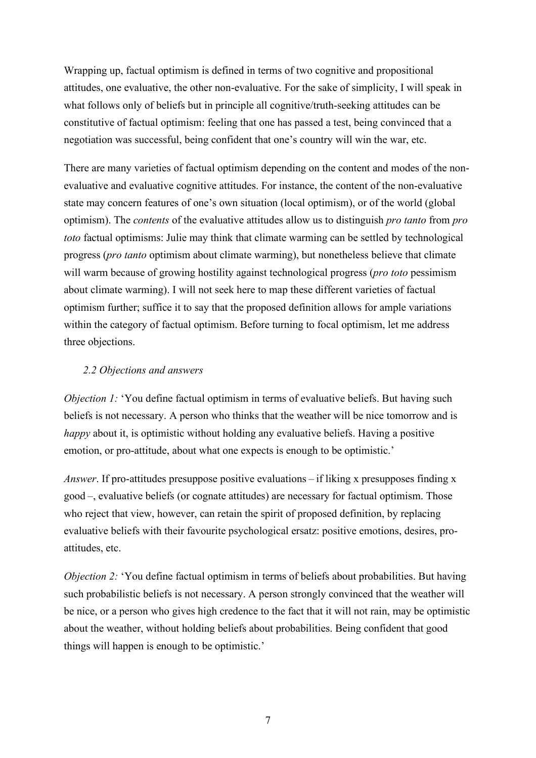Wrapping up, factual optimism is defined in terms of two cognitive and propositional attitudes, one evaluative, the other non-evaluative. For the sake of simplicity, I will speak in what follows only of beliefs but in principle all cognitive/truth-seeking attitudes can be constitutive of factual optimism: feeling that one has passed a test, being convinced that a negotiation was successful, being confident that one's country will win the war, etc.

There are many varieties of factual optimism depending on the content and modes of the nonevaluative and evaluative cognitive attitudes. For instance, the content of the non-evaluative state may concern features of one's own situation (local optimism), or of the world (global optimism). The *contents* of the evaluative attitudes allow us to distinguish *pro tanto* from *pro toto* factual optimisms: Julie may think that climate warming can be settled by technological progress (*pro tanto* optimism about climate warming), but nonetheless believe that climate will warm because of growing hostility against technological progress (*pro toto* pessimism about climate warming). I will not seek here to map these different varieties of factual optimism further; suffice it to say that the proposed definition allows for ample variations within the category of factual optimism. Before turning to focal optimism, let me address three objections.

# *2.2 Objections and answers*

*Objection 1:* 'You define factual optimism in terms of evaluative beliefs. But having such beliefs is not necessary. A person who thinks that the weather will be nice tomorrow and is *happy* about it, is optimistic without holding any evaluative beliefs. Having a positive emotion, or pro-attitude, about what one expects is enough to be optimistic.'

*Answer*. If pro-attitudes presuppose positive evaluations – if liking x presupposes finding x good –, evaluative beliefs (or cognate attitudes) are necessary for factual optimism. Those who reject that view, however, can retain the spirit of proposed definition, by replacing evaluative beliefs with their favourite psychological ersatz: positive emotions, desires, proattitudes, etc.

*Objection* 2: 'You define factual optimism in terms of beliefs about probabilities. But having such probabilistic beliefs is not necessary. A person strongly convinced that the weather will be nice, or a person who gives high credence to the fact that it will not rain, may be optimistic about the weather, without holding beliefs about probabilities. Being confident that good things will happen is enough to be optimistic.'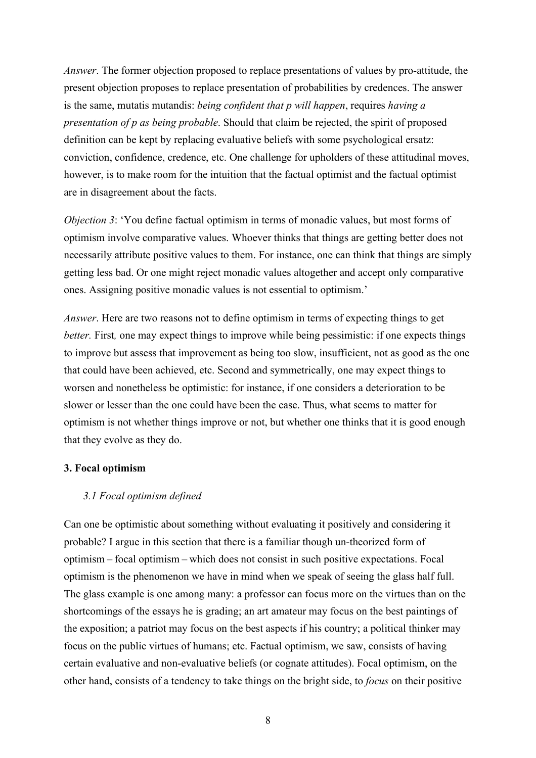*Answer*. The former objection proposed to replace presentations of values by pro-attitude, the present objection proposes to replace presentation of probabilities by credences. The answer is the same, mutatis mutandis: *being confident that p will happen*, requires *having a presentation of p as being probable*. Should that claim be rejected, the spirit of proposed definition can be kept by replacing evaluative beliefs with some psychological ersatz: conviction, confidence, credence, etc. One challenge for upholders of these attitudinal moves, however, is to make room for the intuition that the factual optimist and the factual optimist are in disagreement about the facts.

*Objection 3*: 'You define factual optimism in terms of monadic values, but most forms of optimism involve comparative values. Whoever thinks that things are getting better does not necessarily attribute positive values to them. For instance, one can think that things are simply getting less bad. Or one might reject monadic values altogether and accept only comparative ones. Assigning positive monadic values is not essential to optimism.'

*Answer*. Here are two reasons not to define optimism in terms of expecting things to get *better.* First*,* one may expect things to improve while being pessimistic: if one expects things to improve but assess that improvement as being too slow, insufficient, not as good as the one that could have been achieved, etc. Second and symmetrically, one may expect things to worsen and nonetheless be optimistic: for instance, if one considers a deterioration to be slower or lesser than the one could have been the case. Thus, what seems to matter for optimism is not whether things improve or not, but whether one thinks that it is good enough that they evolve as they do.

### **3. Focal optimism**

## *3.1 Focal optimism defined*

Can one be optimistic about something without evaluating it positively and considering it probable? I argue in this section that there is a familiar though un-theorized form of optimism – focal optimism – which does not consist in such positive expectations. Focal optimism is the phenomenon we have in mind when we speak of seeing the glass half full. The glass example is one among many: a professor can focus more on the virtues than on the shortcomings of the essays he is grading; an art amateur may focus on the best paintings of the exposition; a patriot may focus on the best aspects if his country; a political thinker may focus on the public virtues of humans; etc. Factual optimism, we saw, consists of having certain evaluative and non-evaluative beliefs (or cognate attitudes). Focal optimism, on the other hand, consists of a tendency to take things on the bright side, to *focus* on their positive

8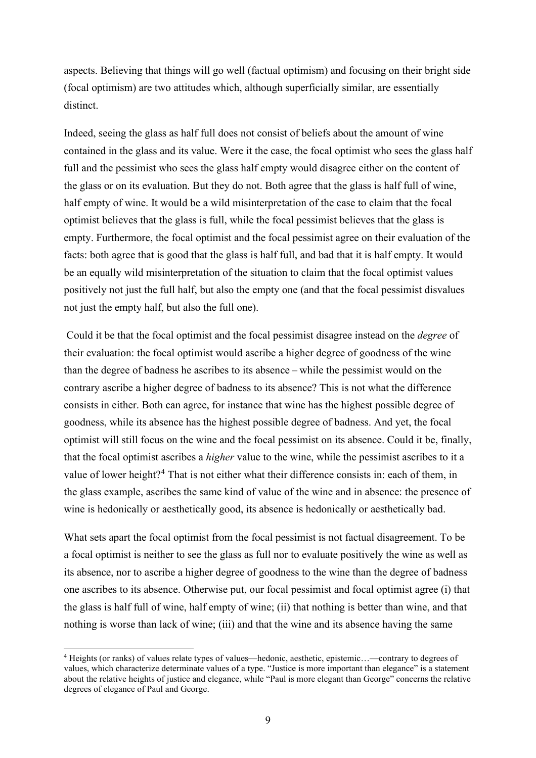aspects. Believing that things will go well (factual optimism) and focusing on their bright side (focal optimism) are two attitudes which, although superficially similar, are essentially distinct.

Indeed, seeing the glass as half full does not consist of beliefs about the amount of wine contained in the glass and its value. Were it the case, the focal optimist who sees the glass half full and the pessimist who sees the glass half empty would disagree either on the content of the glass or on its evaluation. But they do not. Both agree that the glass is half full of wine, half empty of wine. It would be a wild misinterpretation of the case to claim that the focal optimist believes that the glass is full, while the focal pessimist believes that the glass is empty. Furthermore, the focal optimist and the focal pessimist agree on their evaluation of the facts: both agree that is good that the glass is half full, and bad that it is half empty. It would be an equally wild misinterpretation of the situation to claim that the focal optimist values positively not just the full half, but also the empty one (and that the focal pessimist disvalues not just the empty half, but also the full one).

Could it be that the focal optimist and the focal pessimist disagree instead on the *degree* of their evaluation: the focal optimist would ascribe a higher degree of goodness of the wine than the degree of badness he ascribes to its absence – while the pessimist would on the contrary ascribe a higher degree of badness to its absence? This is not what the difference consists in either. Both can agree, for instance that wine has the highest possible degree of goodness, while its absence has the highest possible degree of badness. And yet, the focal optimist will still focus on the wine and the focal pessimist on its absence. Could it be, finally, that the focal optimist ascribes a *higher* value to the wine, while the pessimist ascribes to it a value of lower height?<sup>[4](#page-8-0)</sup> That is not either what their difference consists in: each of them, in the glass example, ascribes the same kind of value of the wine and in absence: the presence of wine is hedonically or aesthetically good, its absence is hedonically or aesthetically bad.

What sets apart the focal optimist from the focal pessimist is not factual disagreement. To be a focal optimist is neither to see the glass as full nor to evaluate positively the wine as well as its absence, nor to ascribe a higher degree of goodness to the wine than the degree of badness one ascribes to its absence. Otherwise put, our focal pessimist and focal optimist agree (i) that the glass is half full of wine, half empty of wine; (ii) that nothing is better than wine, and that nothing is worse than lack of wine; (iii) and that the wine and its absence having the same

<span id="page-8-0"></span><sup>4</sup> Heights (or ranks) of values relate types of values—hedonic, aesthetic, epistemic…—contrary to degrees of values, which characterize determinate values of a type. "Justice is more important than elegance" is a statement about the relative heights of justice and elegance, while "Paul is more elegant than George" concerns the relative degrees of elegance of Paul and George.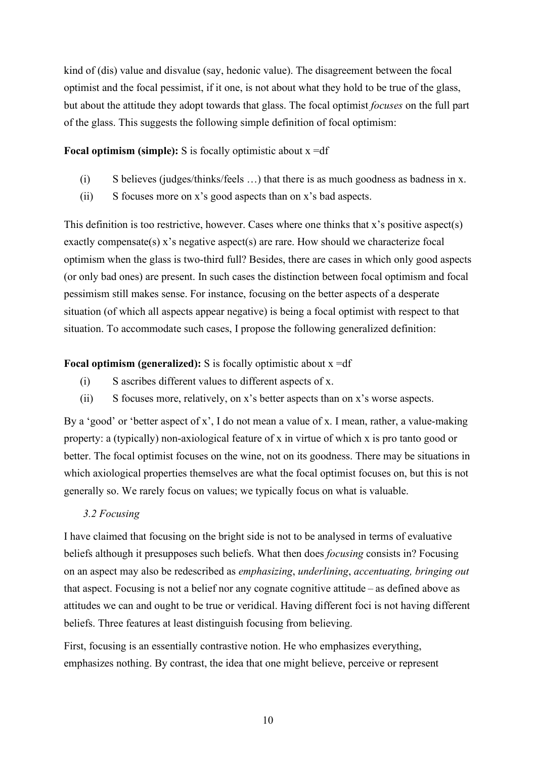kind of (dis) value and disvalue (say, hedonic value). The disagreement between the focal optimist and the focal pessimist, if it one, is not about what they hold to be true of the glass, but about the attitude they adopt towards that glass. The focal optimist *focuses* on the full part of the glass. This suggests the following simple definition of focal optimism:

**Focal optimism (simple):** S is focally optimistic about x =df

- (i) S believes (judges/thinks/feels …) that there is as much goodness as badness in x.
- (ii) S focuses more on x's good aspects than on x's bad aspects.

This definition is too restrictive, however. Cases where one thinks that x's positive aspect(s) exactly compensate(s) x's negative aspect(s) are rare. How should we characterize focal optimism when the glass is two-third full? Besides, there are cases in which only good aspects (or only bad ones) are present. In such cases the distinction between focal optimism and focal pessimism still makes sense. For instance, focusing on the better aspects of a desperate situation (of which all aspects appear negative) is being a focal optimist with respect to that situation. To accommodate such cases, I propose the following generalized definition:

# **Focal optimism (generalized):** S is focally optimistic about x =df

- (i) S ascribes different values to different aspects of x.
- (ii) S focuses more, relatively, on x's better aspects than on x's worse aspects.

By a 'good' or 'better aspect of x', I do not mean a value of x. I mean, rather, a value-making property: a (typically) non-axiological feature of x in virtue of which x is pro tanto good or better. The focal optimist focuses on the wine, not on its goodness. There may be situations in which axiological properties themselves are what the focal optimist focuses on, but this is not generally so. We rarely focus on values; we typically focus on what is valuable.

# *3.2 Focusing*

I have claimed that focusing on the bright side is not to be analysed in terms of evaluative beliefs although it presupposes such beliefs. What then does *focusing* consists in? Focusing on an aspect may also be redescribed as *emphasizing*, *underlining*, *accentuating, bringing out* that aspect. Focusing is not a belief nor any cognate cognitive attitude – as defined above as attitudes we can and ought to be true or veridical. Having different foci is not having different beliefs. Three features at least distinguish focusing from believing.

First, focusing is an essentially contrastive notion. He who emphasizes everything, emphasizes nothing. By contrast, the idea that one might believe, perceive or represent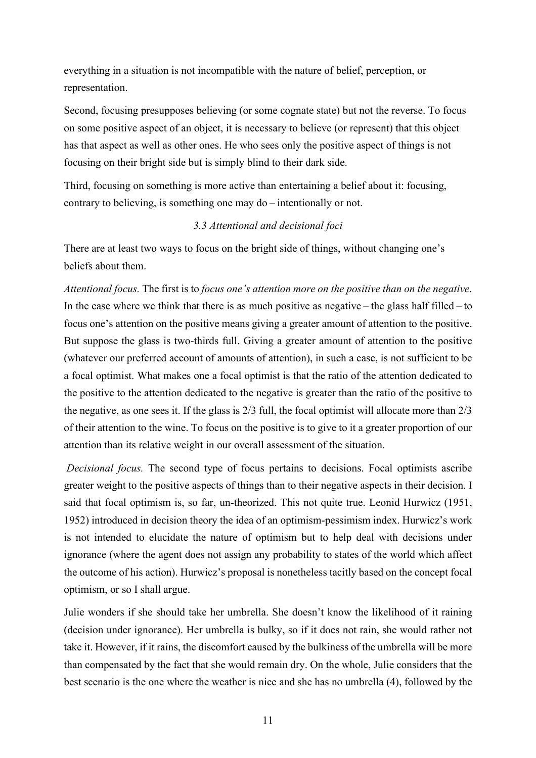everything in a situation is not incompatible with the nature of belief, perception, or representation.

Second, focusing presupposes believing (or some cognate state) but not the reverse. To focus on some positive aspect of an object, it is necessary to believe (or represent) that this object has that aspect as well as other ones. He who sees only the positive aspect of things is not focusing on their bright side but is simply blind to their dark side.

Third, focusing on something is more active than entertaining a belief about it: focusing, contrary to believing, is something one may do – intentionally or not.

# *3.3 Attentional and decisional foci*

There are at least two ways to focus on the bright side of things, without changing one's beliefs about them.

*Attentional focus.* The first is to *focus one's attention more on the positive than on the negative*. In the case where we think that there is as much positive as negative – the glass half filled – to focus one's attention on the positive means giving a greater amount of attention to the positive. But suppose the glass is two-thirds full. Giving a greater amount of attention to the positive (whatever our preferred account of amounts of attention), in such a case, is not sufficient to be a focal optimist. What makes one a focal optimist is that the ratio of the attention dedicated to the positive to the attention dedicated to the negative is greater than the ratio of the positive to the negative, as one sees it. If the glass is 2/3 full, the focal optimist will allocate more than 2/3 of their attention to the wine. To focus on the positive is to give to it a greater proportion of our attention than its relative weight in our overall assessment of the situation.

*Decisional focus.* The second type of focus pertains to decisions. Focal optimists ascribe greater weight to the positive aspects of things than to their negative aspects in their decision. I said that focal optimism is, so far, un-theorized. This not quite true. Leonid Hurwicz (1951, 1952) introduced in decision theory the idea of an optimism-pessimism index. Hurwicz's work is not intended to elucidate the nature of optimism but to help deal with decisions under ignorance (where the agent does not assign any probability to states of the world which affect the outcome of his action). Hurwicz's proposal is nonetheless tacitly based on the concept focal optimism, or so I shall argue.

Julie wonders if she should take her umbrella. She doesn't know the likelihood of it raining (decision under ignorance). Her umbrella is bulky, so if it does not rain, she would rather not take it. However, if it rains, the discomfort caused by the bulkiness of the umbrella will be more than compensated by the fact that she would remain dry. On the whole, Julie considers that the best scenario is the one where the weather is nice and she has no umbrella (4), followed by the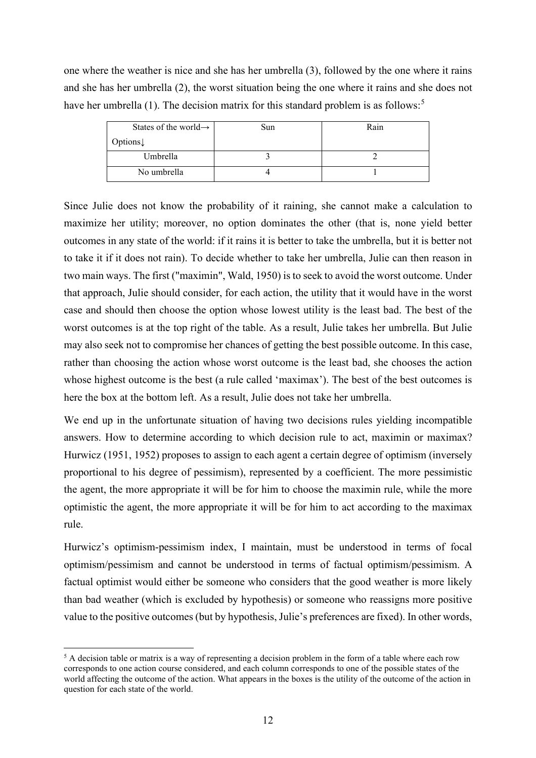one where the weather is nice and she has her umbrella (3), followed by the one where it rains and she has her umbrella (2), the worst situation being the one where it rains and she does not have her umbrella (1). The decision matrix for this standard problem is as follows:<sup>[5](#page-11-0)</sup>

| States of the world $\rightarrow$ | Sun | Rain |
|-----------------------------------|-----|------|
| Options $\downarrow$              |     |      |
| Umbrella                          |     |      |
| No umbrella                       |     |      |

Since Julie does not know the probability of it raining, she cannot make a calculation to maximize her utility; moreover, no option dominates the other (that is, none yield better outcomes in any state of the world: if it rains it is better to take the umbrella, but it is better not to take it if it does not rain). To decide whether to take her umbrella, Julie can then reason in two main ways. The first ("maximin", Wald, 1950) is to seek to avoid the worst outcome. Under that approach, Julie should consider, for each action, the utility that it would have in the worst case and should then choose the option whose lowest utility is the least bad. The best of the worst outcomes is at the top right of the table. As a result, Julie takes her umbrella. But Julie may also seek not to compromise her chances of getting the best possible outcome. In this case, rather than choosing the action whose worst outcome is the least bad, she chooses the action whose highest outcome is the best (a rule called 'maximax'). The best of the best outcomes is here the box at the bottom left. As a result, Julie does not take her umbrella.

We end up in the unfortunate situation of having two decisions rules yielding incompatible answers. How to determine according to which decision rule to act, maximin or maximax? Hurwicz (1951, 1952) proposes to assign to each agent a certain degree of optimism (inversely proportional to his degree of pessimism), represented by a coefficient. The more pessimistic the agent, the more appropriate it will be for him to choose the maximin rule, while the more optimistic the agent, the more appropriate it will be for him to act according to the maximax rule.

Hurwicz's optimism-pessimism index, I maintain, must be understood in terms of focal optimism/pessimism and cannot be understood in terms of factual optimism/pessimism. A factual optimist would either be someone who considers that the good weather is more likely than bad weather (which is excluded by hypothesis) or someone who reassigns more positive value to the positive outcomes (but by hypothesis, Julie's preferences are fixed). In other words,

<span id="page-11-0"></span><sup>&</sup>lt;sup>5</sup> A decision table or matrix is a way of representing a decision problem in the form of a table where each row corresponds to one action course considered, and each column corresponds to one of the possible states of the world affecting the outcome of the action. What appears in the boxes is the utility of the outcome of the action in question for each state of the world.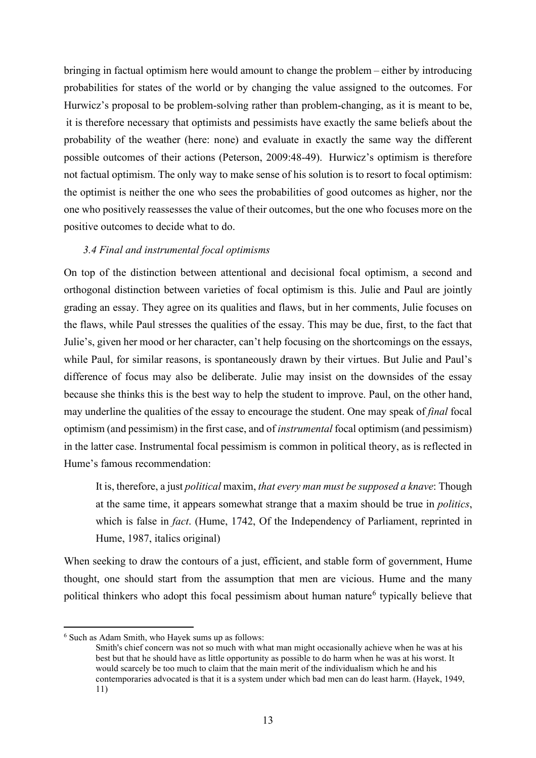bringing in factual optimism here would amount to change the problem – either by introducing probabilities for states of the world or by changing the value assigned to the outcomes. For Hurwicz's proposal to be problem-solving rather than problem-changing, as it is meant to be, it is therefore necessary that optimists and pessimists have exactly the same beliefs about the probability of the weather (here: none) and evaluate in exactly the same way the different possible outcomes of their actions (Peterson, 2009:48-49). Hurwicz's optimism is therefore not factual optimism. The only way to make sense of his solution is to resort to focal optimism: the optimist is neither the one who sees the probabilities of good outcomes as higher, nor the one who positively reassesses the value of their outcomes, but the one who focuses more on the positive outcomes to decide what to do.

# *3.4 Final and instrumental focal optimisms*

On top of the distinction between attentional and decisional focal optimism, a second and orthogonal distinction between varieties of focal optimism is this. Julie and Paul are jointly grading an essay. They agree on its qualities and flaws, but in her comments, Julie focuses on the flaws, while Paul stresses the qualities of the essay. This may be due, first, to the fact that Julie's, given her mood or her character, can't help focusing on the shortcomings on the essays, while Paul, for similar reasons, is spontaneously drawn by their virtues. But Julie and Paul's difference of focus may also be deliberate. Julie may insist on the downsides of the essay because she thinks this is the best way to help the student to improve. Paul, on the other hand, may underline the qualities of the essay to encourage the student. One may speak of *final* focal optimism (and pessimism) in the first case, and of *instrumental* focal optimism (and pessimism) in the latter case. Instrumental focal pessimism is common in political theory, as is reflected in Hume's famous recommendation:

It is, therefore, a just *political* maxim, *that every man must be supposed a knave*: Though at the same time, it appears somewhat strange that a maxim should be true in *politics*, which is false in *fact*. (Hume, 1742, Of the Independency of Parliament, reprinted in Hume, 1987, italics original)

When seeking to draw the contours of a just, efficient, and stable form of government, Hume thought, one should start from the assumption that men are vicious. Hume and the many political thinkers who adopt this focal pessimism about human nature<sup>[6](#page-12-0)</sup> typically believe that

<span id="page-12-0"></span><sup>6</sup> Such as Adam Smith, who Hayek sums up as follows:

Smith's chief concern was not so much with what man might occasionally achieve when he was at his best but that he should have as little opportunity as possible to do harm when he was at his worst. It would scarcely be too much to claim that the main merit of the individualism which he and his contemporaries advocated is that it is a system under which bad men can do least harm. (Hayek, 1949, 11)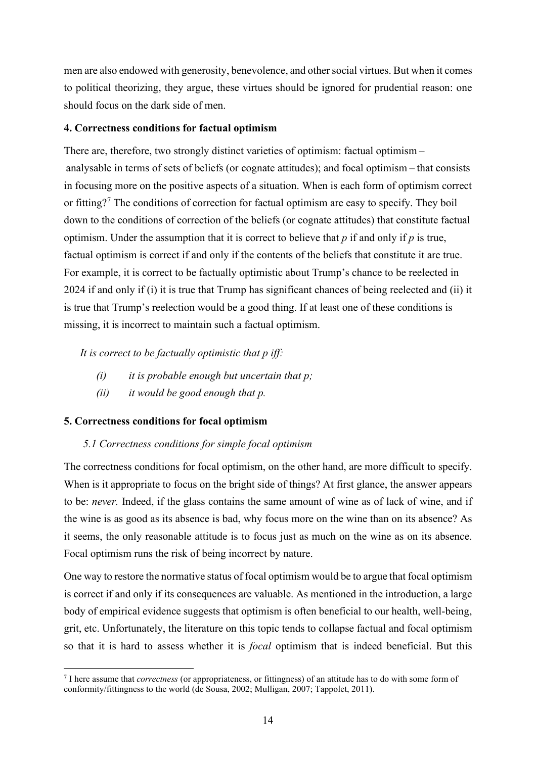men are also endowed with generosity, benevolence, and other social virtues. But when it comes to political theorizing, they argue, these virtues should be ignored for prudential reason: one should focus on the dark side of men.

# **4. Correctness conditions for factual optimism**

There are, therefore, two strongly distinct varieties of optimism: factual optimism – analysable in terms of sets of beliefs (or cognate attitudes); and focal optimism – that consists in focusing more on the positive aspects of a situation. When is each form of optimism correct or fitting?[7](#page-13-0) The conditions of correction for factual optimism are easy to specify. They boil down to the conditions of correction of the beliefs (or cognate attitudes) that constitute factual optimism. Under the assumption that it is correct to believe that *p* if and only if *p* is true, factual optimism is correct if and only if the contents of the beliefs that constitute it are true. For example, it is correct to be factually optimistic about Trump's chance to be reelected in 2024 if and only if (i) it is true that Trump has significant chances of being reelected and (ii) it is true that Trump's reelection would be a good thing. If at least one of these conditions is missing, it is incorrect to maintain such a factual optimism.

*It is correct to be factually optimistic that p iff:*

- *(i) it is probable enough but uncertain that p;*
- *(ii) it would be good enough that p.*

# **5. Correctness conditions for focal optimism**

# *5.1 Correctness conditions for simple focal optimism*

The correctness conditions for focal optimism, on the other hand, are more difficult to specify. When is it appropriate to focus on the bright side of things? At first glance, the answer appears to be: *never.* Indeed, if the glass contains the same amount of wine as of lack of wine, and if the wine is as good as its absence is bad, why focus more on the wine than on its absence? As it seems, the only reasonable attitude is to focus just as much on the wine as on its absence. Focal optimism runs the risk of being incorrect by nature.

One way to restore the normative status of focal optimism would be to argue that focal optimism is correct if and only if its consequences are valuable. As mentioned in the introduction, a large body of empirical evidence suggests that optimism is often beneficial to our health, well-being, grit, etc. Unfortunately, the literature on this topic tends to collapse factual and focal optimism so that it is hard to assess whether it is *focal* optimism that is indeed beneficial. But this

<span id="page-13-0"></span><sup>7</sup> I here assume that *correctness* (or appropriateness, or fittingness) of an attitude has to do with some form of conformity/fittingness to the world (de Sousa, 2002; Mulligan, 2007; Tappolet, 2011).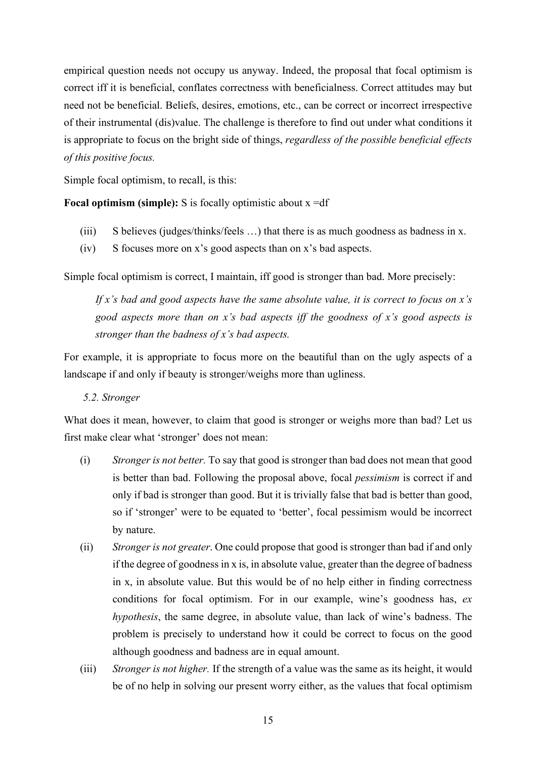empirical question needs not occupy us anyway. Indeed, the proposal that focal optimism is correct iff it is beneficial, conflates correctness with beneficialness. Correct attitudes may but need not be beneficial. Beliefs, desires, emotions, etc., can be correct or incorrect irrespective of their instrumental (dis)value. The challenge is therefore to find out under what conditions it is appropriate to focus on the bright side of things, *regardless of the possible beneficial effects of this positive focus.*

Simple focal optimism, to recall, is this:

**Focal optimism (simple):** S is focally optimistic about  $x = df$ 

- (iii) S believes (judges/thinks/feels …) that there is as much goodness as badness in x.
- (iv) S focuses more on x's good aspects than on x's bad aspects.

Simple focal optimism is correct, I maintain, iff good is stronger than bad. More precisely:

*If x's bad and good aspects have the same absolute value, it is correct to focus on x's good aspects more than on x's bad aspects iff the goodness of x's good aspects is stronger than the badness of x's bad aspects.*

For example, it is appropriate to focus more on the beautiful than on the ugly aspects of a landscape if and only if beauty is stronger/weighs more than ugliness.

*5.2. Stronger*

What does it mean, however, to claim that good is stronger or weighs more than bad? Let us first make clear what 'stronger' does not mean:

- (i) *Stronger is not better.* To say that good is stronger than bad does not mean that good is better than bad. Following the proposal above, focal *pessimism* is correct if and only if bad is stronger than good. But it is trivially false that bad is better than good, so if 'stronger' were to be equated to 'better', focal pessimism would be incorrect by nature.
- (ii) *Stronger is not greater*. One could propose that good is stronger than bad if and only if the degree of goodness in x is, in absolute value, greater than the degree of badness in x, in absolute value. But this would be of no help either in finding correctness conditions for focal optimism. For in our example, wine's goodness has, *ex hypothesis*, the same degree, in absolute value, than lack of wine's badness. The problem is precisely to understand how it could be correct to focus on the good although goodness and badness are in equal amount.
- (iii) *Stronger is not higher.* If the strength of a value was the same as its height, it would be of no help in solving our present worry either, as the values that focal optimism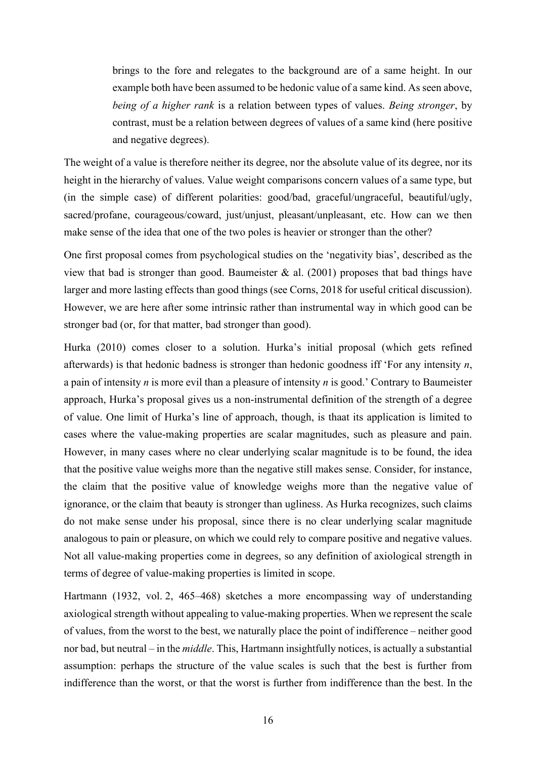brings to the fore and relegates to the background are of a same height. In our example both have been assumed to be hedonic value of a same kind. As seen above, *being of a higher rank* is a relation between types of values. *Being stronger*, by contrast, must be a relation between degrees of values of a same kind (here positive and negative degrees).

The weight of a value is therefore neither its degree, nor the absolute value of its degree, nor its height in the hierarchy of values. Value weight comparisons concern values of a same type, but (in the simple case) of different polarities: good/bad, graceful/ungraceful, beautiful/ugly, sacred/profane, courageous/coward, just/unjust, pleasant/unpleasant, etc. How can we then make sense of the idea that one of the two poles is heavier or stronger than the other?

One first proposal comes from psychological studies on the 'negativity bias', described as the view that bad is stronger than good. Baumeister  $\&$  al. (2001) proposes that bad things have larger and more lasting effects than good things (see Corns, 2018 for useful critical discussion). However, we are here after some intrinsic rather than instrumental way in which good can be stronger bad (or, for that matter, bad stronger than good).

Hurka (2010) comes closer to a solution. Hurka's initial proposal (which gets refined afterwards) is that hedonic badness is stronger than hedonic goodness iff 'For any intensity *n*, a pain of intensity *n* is more evil than a pleasure of intensity *n* is good.' Contrary to Baumeister approach, Hurka's proposal gives us a non-instrumental definition of the strength of a degree of value. One limit of Hurka's line of approach, though, is thaat its application is limited to cases where the value-making properties are scalar magnitudes, such as pleasure and pain. However, in many cases where no clear underlying scalar magnitude is to be found, the idea that the positive value weighs more than the negative still makes sense. Consider, for instance, the claim that the positive value of knowledge weighs more than the negative value of ignorance, or the claim that beauty is stronger than ugliness. As Hurka recognizes, such claims do not make sense under his proposal, since there is no clear underlying scalar magnitude analogous to pain or pleasure, on which we could rely to compare positive and negative values. Not all value-making properties come in degrees, so any definition of axiological strength in terms of degree of value-making properties is limited in scope.

Hartmann (1932, vol. 2, 465–468) sketches a more encompassing way of understanding axiological strength without appealing to value-making properties. When we represent the scale of values, from the worst to the best, we naturally place the point of indifference – neither good nor bad, but neutral – in the *middle*. This, Hartmann insightfully notices, is actually a substantial assumption: perhaps the structure of the value scales is such that the best is further from indifference than the worst, or that the worst is further from indifference than the best. In the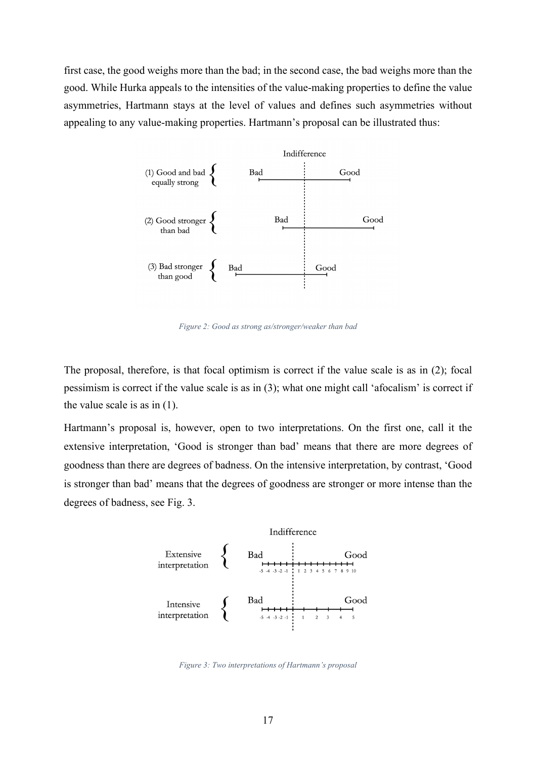first case, the good weighs more than the bad; in the second case, the bad weighs more than the good. While Hurka appeals to the intensities of the value-making properties to define the value asymmetries, Hartmann stays at the level of values and defines such asymmetries without appealing to any value-making properties. Hartmann's proposal can be illustrated thus:



*Figure 2: Good as strong as/stronger/weaker than bad*

The proposal, therefore, is that focal optimism is correct if the value scale is as in (2); focal pessimism is correct if the value scale is as in (3); what one might call 'afocalism' is correct if the value scale is as in (1).

Hartmann's proposal is, however, open to two interpretations. On the first one, call it the extensive interpretation, 'Good is stronger than bad' means that there are more degrees of goodness than there are degrees of badness. On the intensive interpretation, by contrast, 'Good is stronger than bad' means that the degrees of goodness are stronger or more intense than the degrees of badness, see Fig. 3.



*Figure 3: Two interpretations of Hartmann's proposal*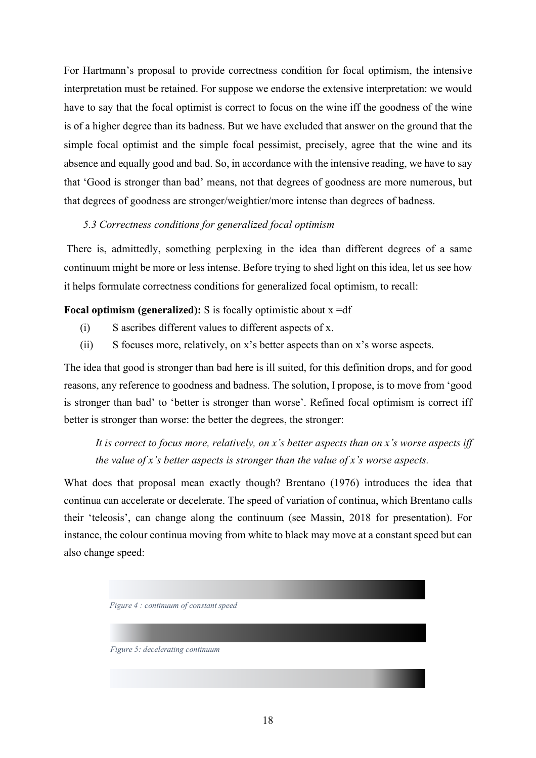For Hartmann's proposal to provide correctness condition for focal optimism, the intensive interpretation must be retained. For suppose we endorse the extensive interpretation: we would have to say that the focal optimist is correct to focus on the wine iff the goodness of the wine is of a higher degree than its badness. But we have excluded that answer on the ground that the simple focal optimist and the simple focal pessimist, precisely, agree that the wine and its absence and equally good and bad. So, in accordance with the intensive reading, we have to say that 'Good is stronger than bad' means, not that degrees of goodness are more numerous, but that degrees of goodness are stronger/weightier/more intense than degrees of badness.

# *5.3 Correctness conditions for generalized focal optimism*

There is, admittedly, something perplexing in the idea than different degrees of a same continuum might be more or less intense. Before trying to shed light on this idea, let us see how it helps formulate correctness conditions for generalized focal optimism, to recall:

**Focal optimism (generalized):** S is focally optimistic about x =df

- (i) S ascribes different values to different aspects of x.
- (ii) S focuses more, relatively, on x's better aspects than on x's worse aspects.

The idea that good is stronger than bad here is ill suited, for this definition drops, and for good reasons, any reference to goodness and badness. The solution, I propose, is to move from 'good is stronger than bad' to 'better is stronger than worse'. Refined focal optimism is correct iff better is stronger than worse: the better the degrees, the stronger:

*It is correct to focus more, relatively, on x's better aspects than on x's worse aspects iff the value of x's better aspects is stronger than the value of x's worse aspects.*

What does that proposal mean exactly though? Brentano (1976) introduces the idea that continua can accelerate or decelerate. The speed of variation of continua, which Brentano calls their 'teleosis', can change along the continuum (see Massin, 2018 for presentation). For instance, the colour continua moving from white to black may move at a constant speed but can also change speed:

*Figure 4 : continuum of constant speed*

*Figure 5: decelerating continuum*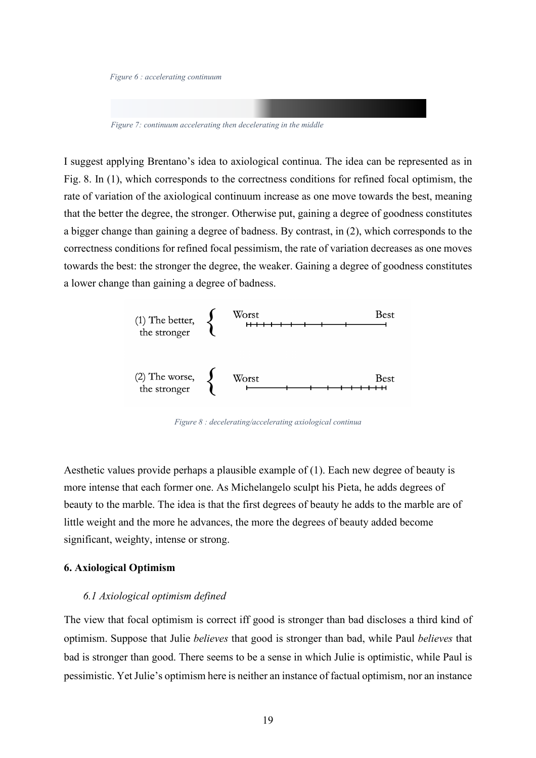*Figure 6 : accelerating continuum*

*Figure 7: continuum accelerating then decelerating in the middle*

I suggest applying Brentano's idea to axiological continua. The idea can be represented as in Fig. 8. In (1), which corresponds to the correctness conditions for refined focal optimism, the rate of variation of the axiological continuum increase as one move towards the best, meaning that the better the degree, the stronger. Otherwise put, gaining a degree of goodness constitutes a bigger change than gaining a degree of badness. By contrast, in (2), which corresponds to the correctness conditions for refined focal pessimism, the rate of variation decreases as one moves towards the best: the stronger the degree, the weaker. Gaining a degree of goodness constitutes a lower change than gaining a degree of badness.



*Figure 8 : decelerating/accelerating axiological continua*

Aesthetic values provide perhaps a plausible example of (1). Each new degree of beauty is more intense that each former one. As Michelangelo sculpt his Pieta, he adds degrees of beauty to the marble. The idea is that the first degrees of beauty he adds to the marble are of little weight and the more he advances, the more the degrees of beauty added become significant, weighty, intense or strong.

# **6. Axiological Optimism**

#### *6.1 Axiological optimism defined*

The view that focal optimism is correct iff good is stronger than bad discloses a third kind of optimism. Suppose that Julie *believes* that good is stronger than bad, while Paul *believes* that bad is stronger than good. There seems to be a sense in which Julie is optimistic, while Paul is pessimistic. Yet Julie's optimism here is neither an instance of factual optimism, nor an instance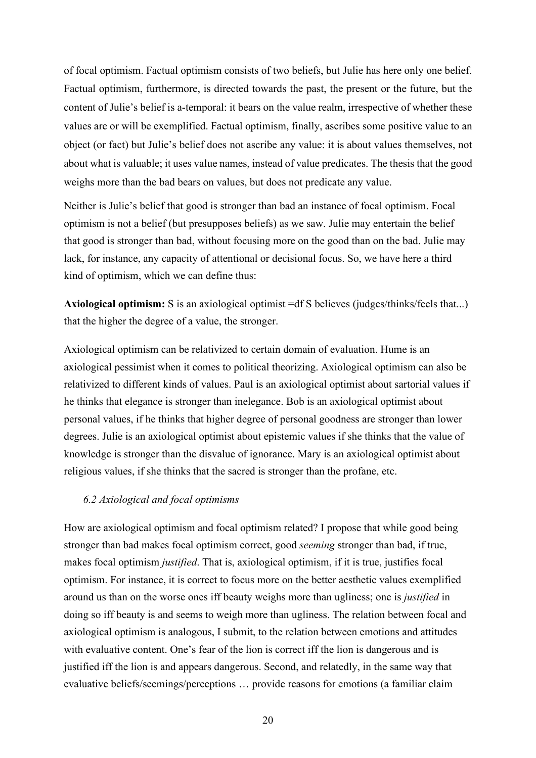of focal optimism. Factual optimism consists of two beliefs, but Julie has here only one belief. Factual optimism, furthermore, is directed towards the past, the present or the future, but the content of Julie's belief is a-temporal: it bears on the value realm, irrespective of whether these values are or will be exemplified. Factual optimism, finally, ascribes some positive value to an object (or fact) but Julie's belief does not ascribe any value: it is about values themselves, not about what is valuable; it uses value names, instead of value predicates. The thesis that the good weighs more than the bad bears on values, but does not predicate any value.

Neither is Julie's belief that good is stronger than bad an instance of focal optimism. Focal optimism is not a belief (but presupposes beliefs) as we saw. Julie may entertain the belief that good is stronger than bad, without focusing more on the good than on the bad. Julie may lack, for instance, any capacity of attentional or decisional focus. So, we have here a third kind of optimism, which we can define thus:

**Axiological optimism:** S is an axiological optimist =df S believes (judges/thinks/feels that...) that the higher the degree of a value, the stronger.

Axiological optimism can be relativized to certain domain of evaluation. Hume is an axiological pessimist when it comes to political theorizing. Axiological optimism can also be relativized to different kinds of values. Paul is an axiological optimist about sartorial values if he thinks that elegance is stronger than inelegance. Bob is an axiological optimist about personal values, if he thinks that higher degree of personal goodness are stronger than lower degrees. Julie is an axiological optimist about epistemic values if she thinks that the value of knowledge is stronger than the disvalue of ignorance. Mary is an axiological optimist about religious values, if she thinks that the sacred is stronger than the profane, etc.

### *6.2 Axiological and focal optimisms*

How are axiological optimism and focal optimism related? I propose that while good being stronger than bad makes focal optimism correct, good *seeming* stronger than bad, if true, makes focal optimism *justified*. That is, axiological optimism, if it is true, justifies focal optimism. For instance, it is correct to focus more on the better aesthetic values exemplified around us than on the worse ones iff beauty weighs more than ugliness; one is *justified* in doing so iff beauty is and seems to weigh more than ugliness. The relation between focal and axiological optimism is analogous, I submit, to the relation between emotions and attitudes with evaluative content. One's fear of the lion is correct iff the lion is dangerous and is justified iff the lion is and appears dangerous. Second, and relatedly, in the same way that evaluative beliefs/seemings/perceptions … provide reasons for emotions (a familiar claim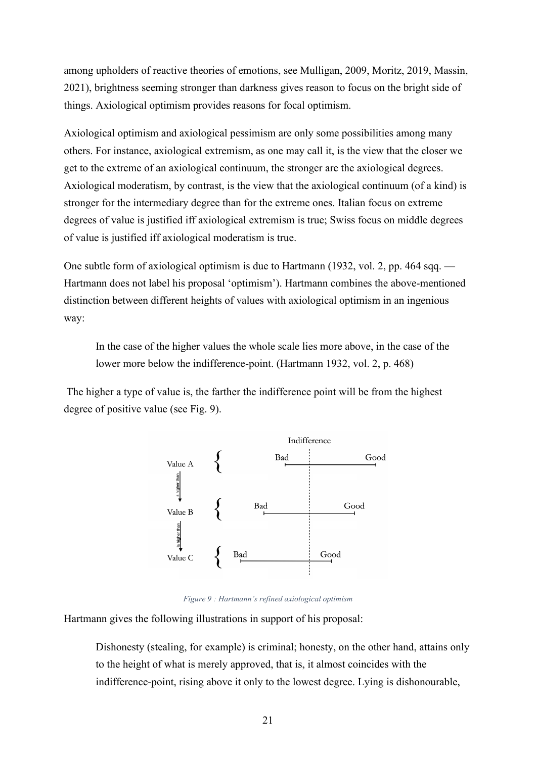among upholders of reactive theories of emotions, see Mulligan, 2009, Moritz, 2019, Massin, 2021), brightness seeming stronger than darkness gives reason to focus on the bright side of things. Axiological optimism provides reasons for focal optimism.

Axiological optimism and axiological pessimism are only some possibilities among many others. For instance, axiological extremism, as one may call it, is the view that the closer we get to the extreme of an axiological continuum, the stronger are the axiological degrees. Axiological moderatism, by contrast, is the view that the axiological continuum (of a kind) is stronger for the intermediary degree than for the extreme ones. Italian focus on extreme degrees of value is justified iff axiological extremism is true; Swiss focus on middle degrees of value is justified iff axiological moderatism is true.

One subtle form of axiological optimism is due to Hartmann (1932, vol. 2, pp. 464 sqq. — Hartmann does not label his proposal 'optimism'). Hartmann combines the above-mentioned distinction between different heights of values with axiological optimism in an ingenious way:

In the case of the higher values the whole scale lies more above, in the case of the lower more below the indifference-point. (Hartmann 1932, vol. 2, p. 468)

The higher a type of value is, the farther the indifference point will be from the highest degree of positive value (see Fig. 9).



*Figure 9 : Hartmann's refined axiological optimism*

Hartmann gives the following illustrations in support of his proposal:

Dishonesty (stealing, for example) is criminal; honesty, on the other hand, attains only to the height of what is merely approved, that is, it almost coincides with the indifference-point, rising above it only to the lowest degree. Lying is dishonourable,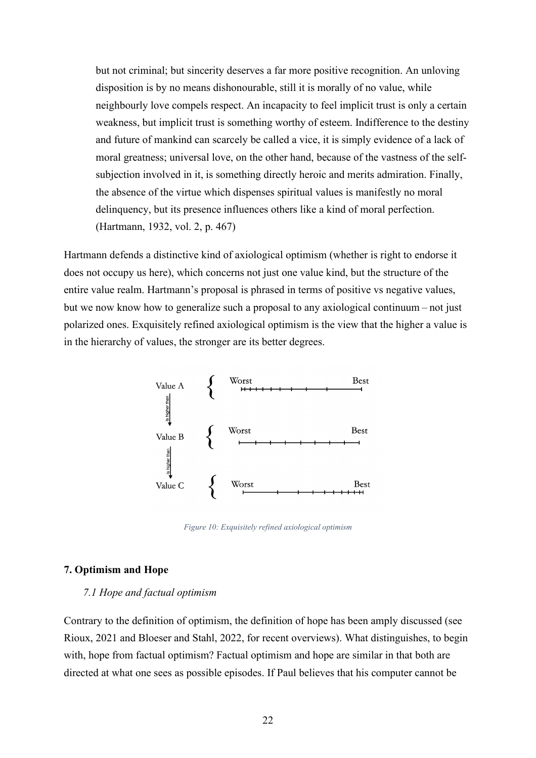but not criminal; but sincerity deserves a far more positive recognition. An unloving disposition is by no means dishonourable, still it is morally of no value, while neighbourly love compels respect. An incapacity to feel implicit trust is only a certain weakness, but implicit trust is something worthy of esteem. Indifference to the destiny and future of mankind can scarcely be called a vice, it is simply evidence of a lack of moral greatness; universal love, on the other hand, because of the vastness of the selfsubjection involved in it, is something directly heroic and merits admiration. Finally, the absence of the virtue which dispenses spiritual values is manifestly no moral delinquency, but its presence influences others like a kind of moral perfection. (Hartmann, 1932, vol. 2, p. 467)

Hartmann defends a distinctive kind of axiological optimism (whether is right to endorse it does not occupy us here), which concerns not just one value kind, but the structure of the entire value realm. Hartmann's proposal is phrased in terms of positive vs negative values, but we now know how to generalize such a proposal to any axiological continuum – not just polarized ones. Exquisitely refined axiological optimism is the view that the higher a value is in the hierarchy of values, the stronger are its better degrees.



*Figure 10: Exquisitely refined axiological optimism*

## **7. Optimism and Hope**

## *7.1 Hope and factual optimism*

Contrary to the definition of optimism, the definition of hope has been amply discussed (see Rioux, 2021 and Bloeser and Stahl, 2022, for recent overviews). What distinguishes, to begin with, hope from factual optimism? Factual optimism and hope are similar in that both are directed at what one sees as possible episodes. If Paul believes that his computer cannot be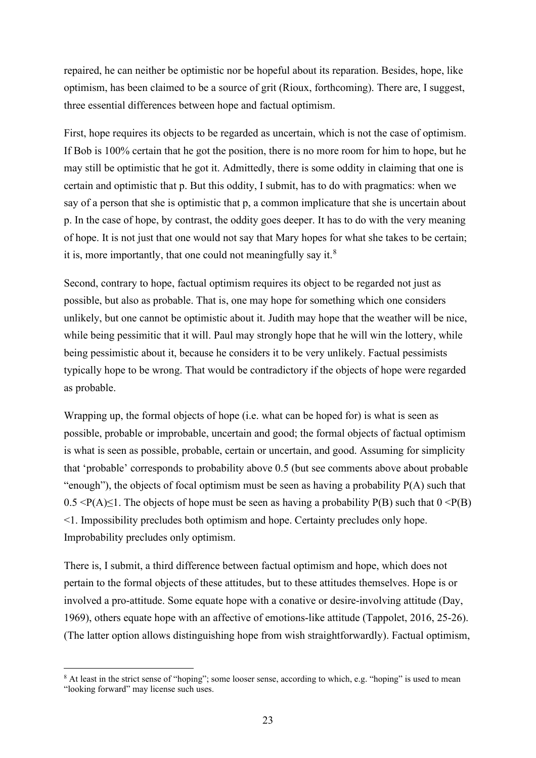repaired, he can neither be optimistic nor be hopeful about its reparation. Besides, hope, like optimism, has been claimed to be a source of grit (Rioux, forthcoming). There are, I suggest, three essential differences between hope and factual optimism.

First, hope requires its objects to be regarded as uncertain, which is not the case of optimism. If Bob is 100% certain that he got the position, there is no more room for him to hope, but he may still be optimistic that he got it. Admittedly, there is some oddity in claiming that one is certain and optimistic that p. But this oddity, I submit, has to do with pragmatics: when we say of a person that she is optimistic that p, a common implicature that she is uncertain about p. In the case of hope, by contrast, the oddity goes deeper. It has to do with the very meaning of hope. It is not just that one would not say that Mary hopes for what she takes to be certain; it is, more importantly, that one could not meaningfully say it.<sup>[8](#page-22-0)</sup>

Second, contrary to hope, factual optimism requires its object to be regarded not just as possible, but also as probable. That is, one may hope for something which one considers unlikely, but one cannot be optimistic about it. Judith may hope that the weather will be nice, while being pessimitic that it will. Paul may strongly hope that he will win the lottery, while being pessimistic about it, because he considers it to be very unlikely. Factual pessimists typically hope to be wrong. That would be contradictory if the objects of hope were regarded as probable.

Wrapping up, the formal objects of hope (i.e. what can be hoped for) is what is seen as possible, probable or improbable, uncertain and good; the formal objects of factual optimism is what is seen as possible, probable, certain or uncertain, and good. Assuming for simplicity that 'probable' corresponds to probability above 0.5 (but see comments above about probable "enough"), the objects of focal optimism must be seen as having a probability  $P(A)$  such that  $0.5 \leq P(A) \leq 1$ . The objects of hope must be seen as having a probability P(B) such that  $0 \leq P(B)$ <1. Impossibility precludes both optimism and hope. Certainty precludes only hope. Improbability precludes only optimism.

There is, I submit, a third difference between factual optimism and hope, which does not pertain to the formal objects of these attitudes, but to these attitudes themselves. Hope is or involved a pro-attitude. Some equate hope with a conative or desire-involving attitude (Day, 1969), others equate hope with an affective of emotions-like attitude (Tappolet, 2016, 25-26). (The latter option allows distinguishing hope from wish straightforwardly). Factual optimism,

<span id="page-22-0"></span><sup>&</sup>lt;sup>8</sup> At least in the strict sense of "hoping"; some looser sense, according to which, e.g. "hoping" is used to mean "looking forward" may license such uses.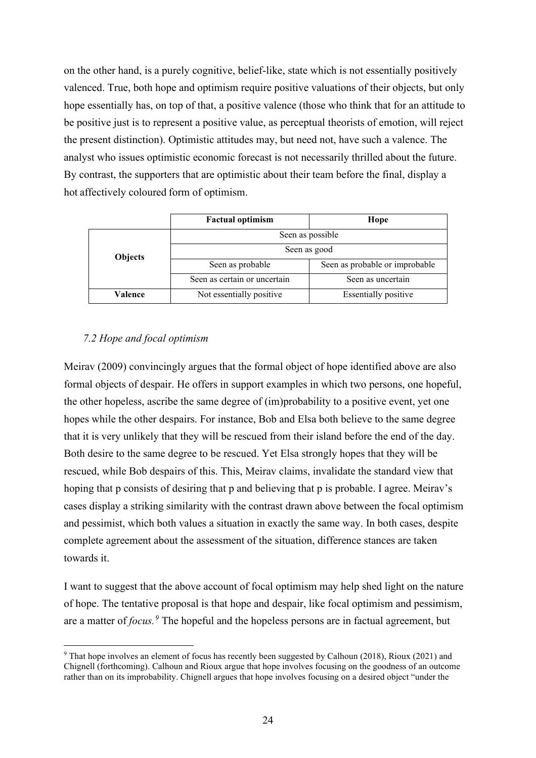on the other hand, is a purely cognitive, belief-like, state which is not essentially positively valenced. True, both hope and optimism require positive valuations of their objects, but only hope essentially has, on top of that, a positive valence (those who think that for an attitude to be positive just is to represent a positive value, as perceptual theorists of emotion, will reject the present distinction). Optimistic attitudes may, but need not, have such a valence. The analyst who issues optimistic economic forecast is not necessarily thrilled about the future. By contrast, the supporters that are optimistic about their team before the final, display a hot affectively coloured form of optimism.

|                | <b>Factual optimism</b>      | Hope                           |  |
|----------------|------------------------------|--------------------------------|--|
|                | Seen as possible             |                                |  |
| <b>Objects</b> | Seen as good                 |                                |  |
|                | Seen as probable             | Seen as probable or improbable |  |
|                | Seen as certain or uncertain | Seen as uncertain              |  |
| Valence        | Not essentially positive     | <b>Essentially positive</b>    |  |

# *7.2 Hope and focal optimism*

Meirav (2009) convincingly argues that the formal object of hope identified above are also formal objects of despair. He offers in support examples in which two persons, one hopeful, the other hopeless, ascribe the same degree of (im)probability to a positive event, yet one hopes while the other despairs. For instance, Bob and Elsa both believe to the same degree that it is very unlikely that they will be rescued from their island before the end of the day. Both desire to the same degree to be rescued. Yet Elsa strongly hopes that they will be rescued, while Bob despairs of this. This, Meirav claims, invalidate the standard view that hoping that p consists of desiring that p and believing that p is probable. I agree. Meirav's cases display a striking similarity with the contrast drawn above between the focal optimism and pessimist, which both values a situation in exactly the same way. In both cases, despite complete agreement about the assessment of the situation, difference stances are taken towards it.

I want to suggest that the above account of focal optimism may help shed light on the nature of hope. The tentative proposal is that hope and despair, like focal optimism and pessimism, are a matter of *focus. [9](#page-23-0)* The hopeful and the hopeless persons are in factual agreement, but

<span id="page-23-0"></span><sup>9</sup> That hope involves an element of focus has recently been suggested by Calhoun (2018), Rioux (2021) and Chignell (forthcoming). Calhoun and Rioux argue that hope involves focusing on the goodness of an outcome rather than on its improbability. Chignell argues that hope involves focusing on a desired object "under the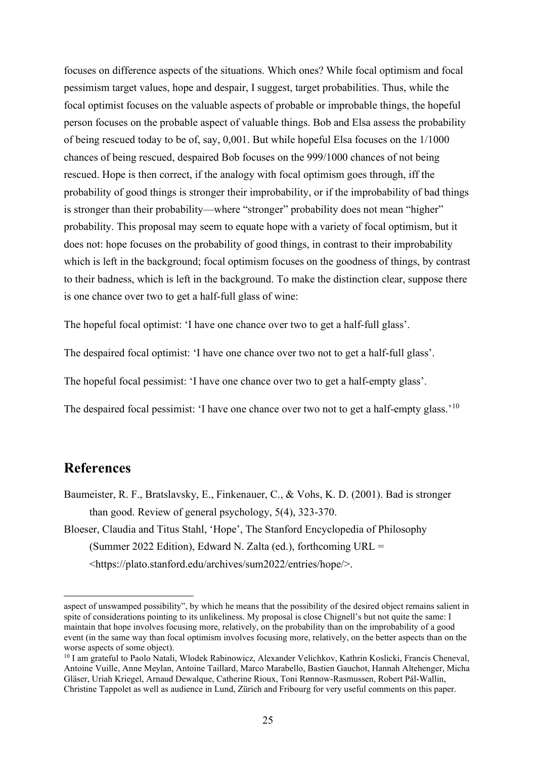focuses on difference aspects of the situations. Which ones? While focal optimism and focal pessimism target values, hope and despair, I suggest, target probabilities. Thus, while the focal optimist focuses on the valuable aspects of probable or improbable things, the hopeful person focuses on the probable aspect of valuable things. Bob and Elsa assess the probability of being rescued today to be of, say, 0,001. But while hopeful Elsa focuses on the 1/1000 chances of being rescued, despaired Bob focuses on the 999/1000 chances of not being rescued. Hope is then correct, if the analogy with focal optimism goes through, iff the probability of good things is stronger their improbability, or if the improbability of bad things is stronger than their probability—where "stronger" probability does not mean "higher" probability. This proposal may seem to equate hope with a variety of focal optimism, but it does not: hope focuses on the probability of good things, in contrast to their improbability which is left in the background; focal optimism focuses on the goodness of things, by contrast to their badness, which is left in the background. To make the distinction clear, suppose there is one chance over two to get a half-full glass of wine:

The hopeful focal optimist: 'I have one chance over two to get a half-full glass'.

The despaired focal optimist: 'I have one chance over two not to get a half-full glass'.

The hopeful focal pessimist: 'I have one chance over two to get a half-empty glass'.

The despaired focal pessimist: 'I have one chance over two not to get a half-empty glass.'<sup>[10](#page-24-0)</sup>

# **References**

- Baumeister, R. F., Bratslavsky, E., Finkenauer, C., & Vohs, K. D. (2001). Bad is stronger than good. Review of general psychology, 5(4), 323-370.
- Bloeser, Claudia and Titus Stahl, 'Hope', The Stanford Encyclopedia of Philosophy (Summer 2022 Edition), Edward N. Zalta (ed.), forthcoming URL = <https://plato.stanford.edu/archives/sum2022/entries/hope/>.

aspect of unswamped possibility", by which he means that the possibility of the desired object remains salient in spite of considerations pointing to its unlikeliness. My proposal is close Chignell's but not quite the same: I maintain that hope involves focusing more, relatively, on the probability than on the improbability of a good event (in the same way than focal optimism involves focusing more, relatively, on the better aspects than on the worse aspects of some object).

<span id="page-24-0"></span><sup>&</sup>lt;sup>10</sup> I am grateful to Paolo Natali, Wlodek Rabinowicz, Alexander Velichkov, Kathrin Koslicki, Francis Cheneval, Antoine Vuille, Anne Meylan, Antoine Taillard, Marco Marabello, Bastien Gauchot, Hannah Altehenger, Micha Gläser, Uriah Kriegel, Arnaud Dewalque, Catherine Rioux, Toni Rønnow-Rasmussen, Robert Pál-Wallin, Christine Tappolet as well as audience in Lund, Zürich and Fribourg for very useful comments on this paper.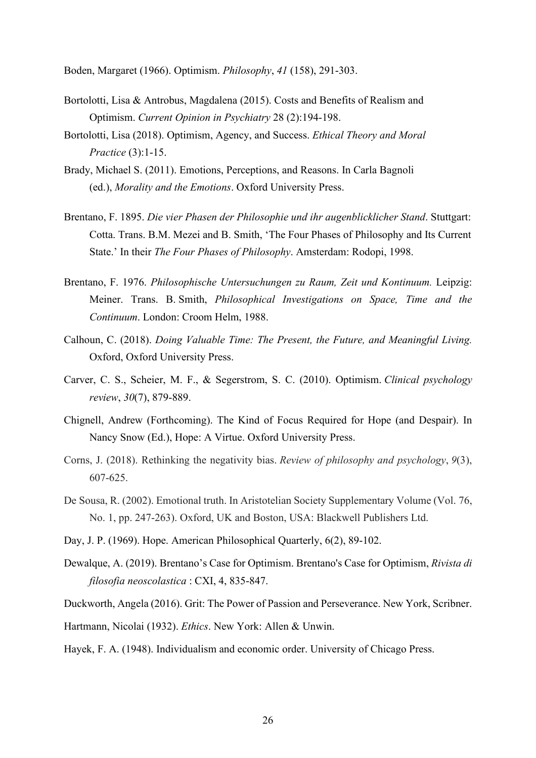Boden, Margaret (1966). Optimism. *Philosophy*, *41* (158), 291-303.

- Bortolotti, Lisa & Antrobus, Magdalena (2015). Costs and Benefits of Realism and Optimism. *Current Opinion in Psychiatry* 28 (2):194-198.
- Bortolotti, Lisa (2018). Optimism, Agency, and Success. *Ethical Theory and Moral Practice* (3):1-15.
- Brady, Michael S. (2011). Emotions, Perceptions, and Reasons. In Carla Bagnoli (ed.), *Morality and the Emotions*. Oxford University Press.
- Brentano, F. 1895. *Die vier Phasen der Philosophie und ihr augenblicklicher Stand*. Stuttgart: Cotta. Trans. B.M. Mezei and B. Smith, 'The Four Phases of Philosophy and Its Current State.' In their *The Four Phases of Philosophy*. Amsterdam: Rodopi, 1998.
- Brentano, F. 1976. *Philosophische Untersuchungen zu Raum, Zeit und Kontinuum.* Leipzig: Meiner. Trans. B. Smith, *Philosophical Investigations on Space, Time and the Continuum*. London: Croom Helm, 1988.
- Calhoun, C. (2018). *Doing Valuable Time: The Present, the Future, and Meaningful Living.* Oxford, Oxford University Press.
- Carver, C. S., Scheier, M. F., & Segerstrom, S. C. (2010). Optimism. *Clinical psychology review*, *30*(7), 879-889.
- Chignell, Andrew (Forthcoming). The Kind of Focus Required for Hope (and Despair). In Nancy Snow (Ed.), Hope: A Virtue. Oxford University Press.
- Corns, J. (2018). Rethinking the negativity bias. *Review of philosophy and psychology*, *9*(3), 607-625.
- De Sousa, R. (2002). Emotional truth. In Aristotelian Society Supplementary Volume (Vol. 76, No. 1, pp. 247-263). Oxford, UK and Boston, USA: Blackwell Publishers Ltd.
- Day, J. P. (1969). Hope. American Philosophical Quarterly, 6(2), 89-102.
- Dewalque, A. (2019). Brentano's Case for Optimism. Brentano's Case for Optimism, *Rivista di filosofia neoscolastica* : CXI, 4, 835-847.
- Duckworth, Angela (2016). Grit: The Power of Passion and Perseverance. New York, Scribner.
- Hartmann, Nicolai (1932). *Ethics*. New York: Allen & Unwin.
- Hayek, F. A. (1948). Individualism and economic order. University of Chicago Press.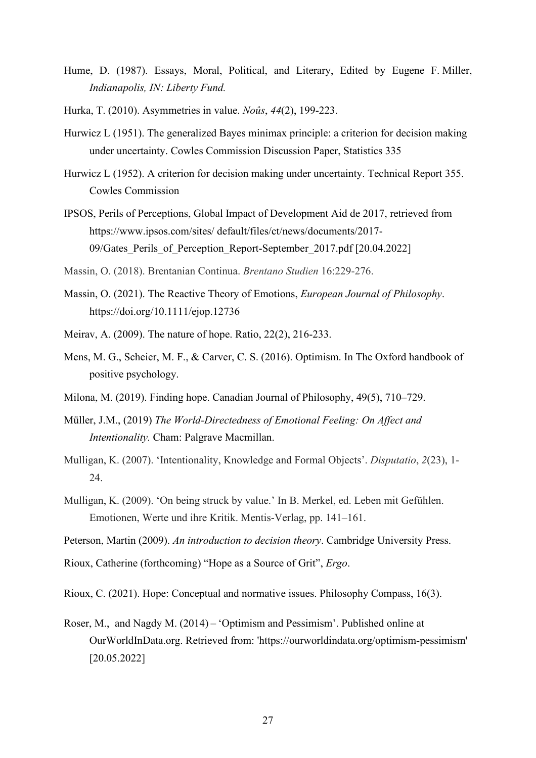- Hume, D. (1987). Essays, Moral, Political, and Literary, Edited by Eugene F. Miller, *Indianapolis, IN: Liberty Fund.*
- Hurka, T. (2010). Asymmetries in value. *Noûs*, *44*(2), 199-223.
- Hurwicz L (1951). The generalized Bayes minimax principle: a criterion for decision making under uncertainty. Cowles Commission Discussion Paper, Statistics 335
- Hurwicz L (1952). A criterion for decision making under uncertainty. Technical Report 355. Cowles Commission
- IPSOS, Perils of Perceptions, Global Impact of Development Aid de 2017, retrieved from https://www.ipsos.com/sites/ default/files/ct/news/documents/2017- 09/Gates Perils of Perception Report-September 2017.pdf [20.04.2022]
- Massin, O. (2018). Brentanian Continua. *Brentano Studien* 16:229-276.
- Massin, O. (2021). The Reactive Theory of Emotions, *European Journal of Philosophy*. https://doi.org/10.1111/ejop.12736
- Meirav, A. (2009). The nature of hope. Ratio, 22(2), 216-233.
- Mens, M. G., Scheier, M. F., & Carver, C. S. (2016). Optimism. In The Oxford handbook of positive psychology.
- Milona, M. (2019). Finding hope. Canadian Journal of Philosophy, 49(5), 710–729.
- Müller, J.M., (2019) *The World-Directedness of Emotional Feeling: On Affect and Intentionality.* Cham: Palgrave Macmillan.
- Mulligan, K. (2007). 'Intentionality, Knowledge and Formal Objects'. *Disputatio*, *2*(23), 1- 24.
- Mulligan, K. (2009). 'On being struck by value.' In B. Merkel, ed. Leben mit Gefühlen. Emotionen, Werte und ihre Kritik. Mentis-Verlag, pp. 141–161.
- Peterson, Martin (2009). *An introduction to decision theory*. Cambridge University Press.
- Rioux, Catherine (forthcoming) "Hope as a Source of Grit", *Ergo*.
- Rioux, C. (2021). Hope: Conceptual and normative issues. Philosophy Compass, 16(3).
- Roser, M., and Nagdy M. (2014) – 'Optimism and Pessimism'. Published online at OurWorldInData.org. Retrieved from: 'https://ourworldindata.org/optimism-pessimism' [20.05.2022]